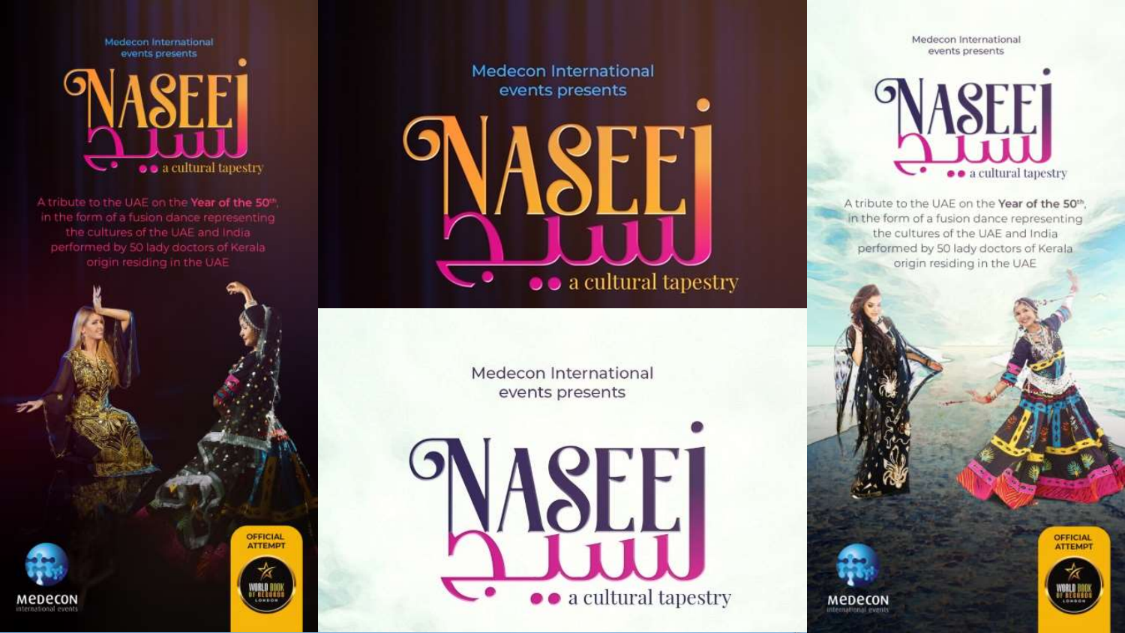

A tribute to the UAE on the Year of the 50th the cultures of the UAE and India performed by 50 lady doctors of Kerala origin residing in the UAE



**Medecon International** events presents

 $\bullet$   $\bullet$  a cultural tapestry

Medecon International events presents



Medecon International events presents



A tribute to the UAE on the Year of the 50th, in the form of a fusion dance representing the cultures of the UAE and India performed by 50 lady doctors of Kerala origin residing in the UAE



**OFFICIAL** 

**MEDECON** ntemational eveni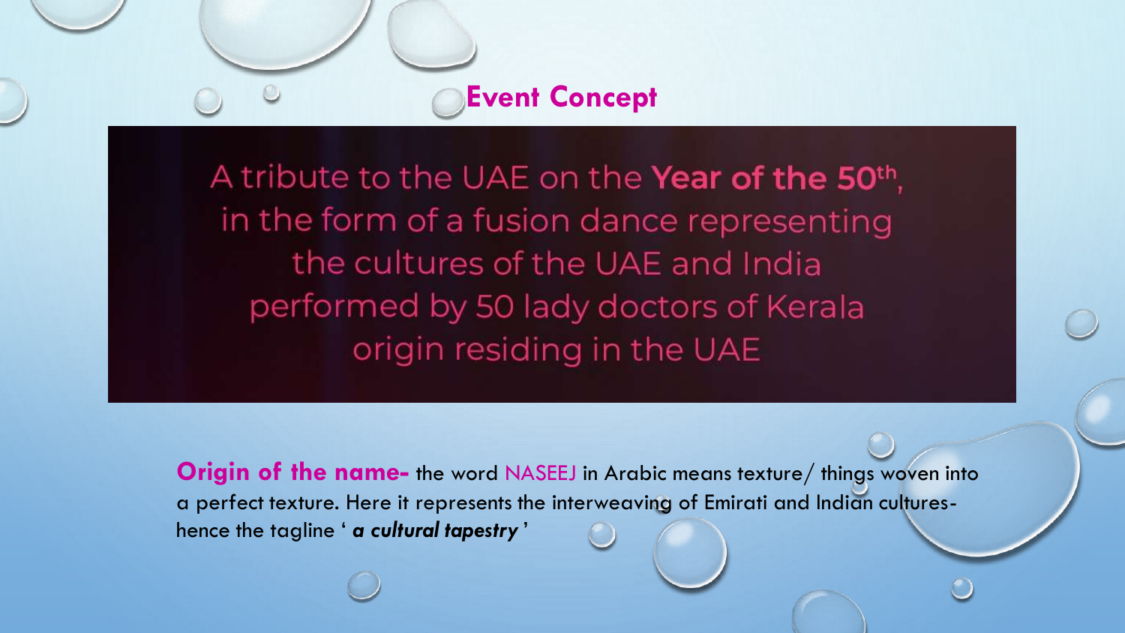**Event Concept**

A tribute to the UAE on the **Year of the 50th**, in the form of a fusion dance representing the cultures of the UAE and India performed by 50 lady doctors of Kerala origin residing in the UAE

**Origin of the name-** the word NASEEJ in Arabic means texture/ things woven into a perfect texture. Here it represents the interweaving of Emirati and Indian cultureshence the tagline ' *a cultural tapestry* '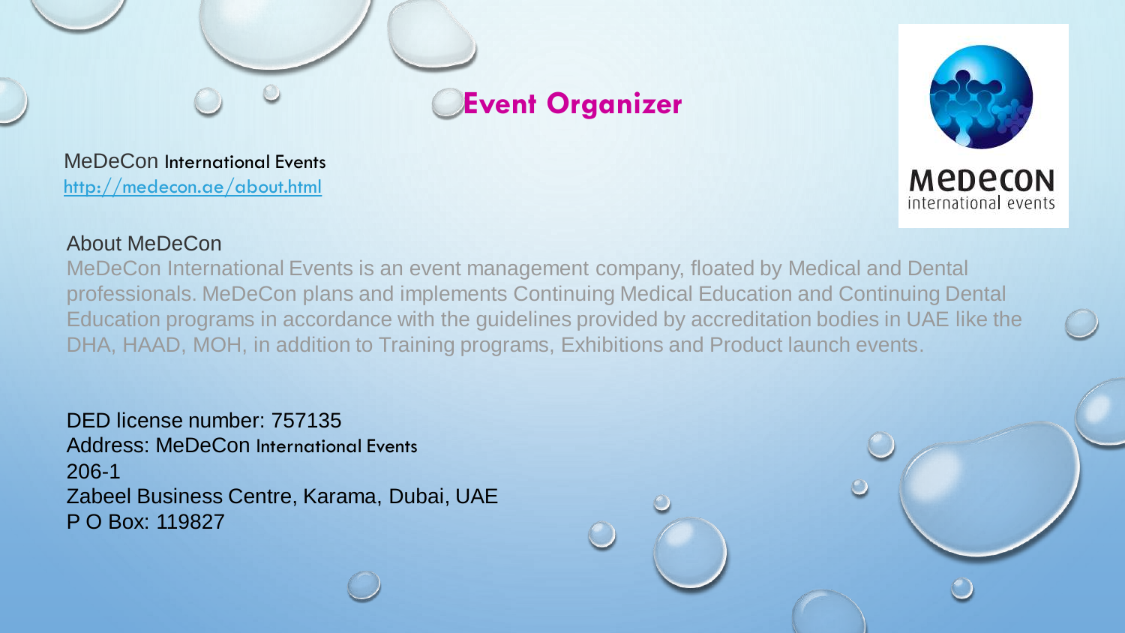

MeDeCon International Events <http://medecon.ae/about.html>



### About MeDeCon

MeDeCon International Events is an event management company, floated by Medical and Dental professionals. MeDeCon plans and implements Continuing Medical Education and Continuing Dental Education programs in accordance with the guidelines provided by accreditation bodies in UAE like the DHA, HAAD, MOH, in addition to Training programs, Exhibitions and Product launch events.

DED license number: 757135 Address: MeDeCon International Events 206-1 Zabeel Business Centre, Karama, Dubai, UAE P O Box: 119827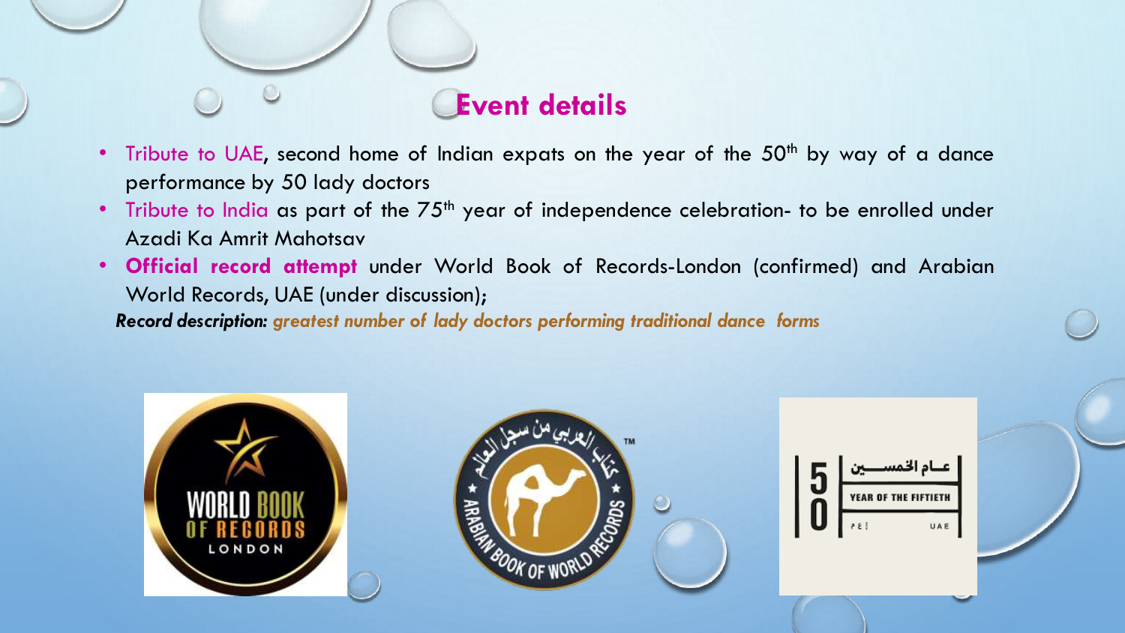

- Tribute to UAE, second home of Indian expats on the year of the  $50<sup>th</sup>$  by way of a dance performance by 50 lady doctors
- Tribute to India as part of the 75<sup>th</sup> year of independence celebration- to be enrolled under Azadi Ka Amrit Mahotsav
- **Official record attempt** under World Book of Records-London (confirmed) and Arabian World Records, UAE (under discussion);

*Record description: greatest number of lady doctors performing traditional dance forms*





عـاد الخمسـ 5 **YEAR OF THE FIFTIETH** Ŏ UAE  $35$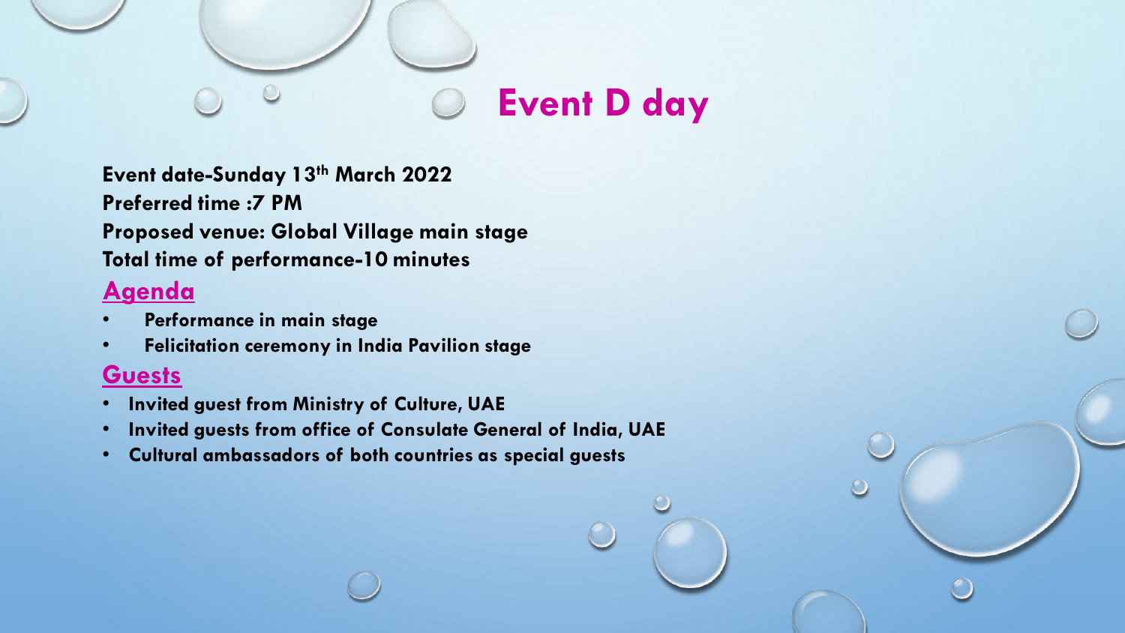

**Event date-Sunday 13th March 2022 Preferred time :7 PM Proposed venue: Global Village main stage Total time of performance-10 minutes**

## **Agenda**

- **Performance in main stage**
- **Felicitation ceremony in India Pavilion stage**

### **Guests**

- **Invited guest from Ministry of Culture, UAE**
- **Invited guests from office of Consulate General of India, UAE**
- **Cultural ambassadors of both countries as special guests**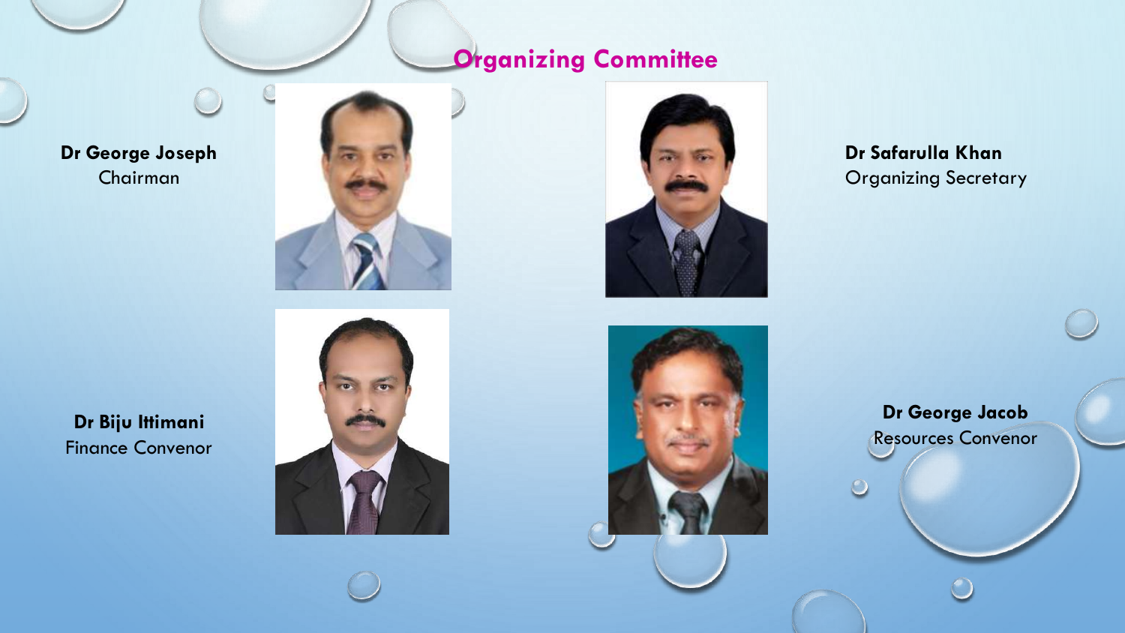# **Organizing Committee**

### **Dr George Joseph** Chairman





**Dr Safarulla Khan** Organizing Secretary

**Dr Biju Ittimani** Finance Convenor





**Dr George Jacob** Resources Convenor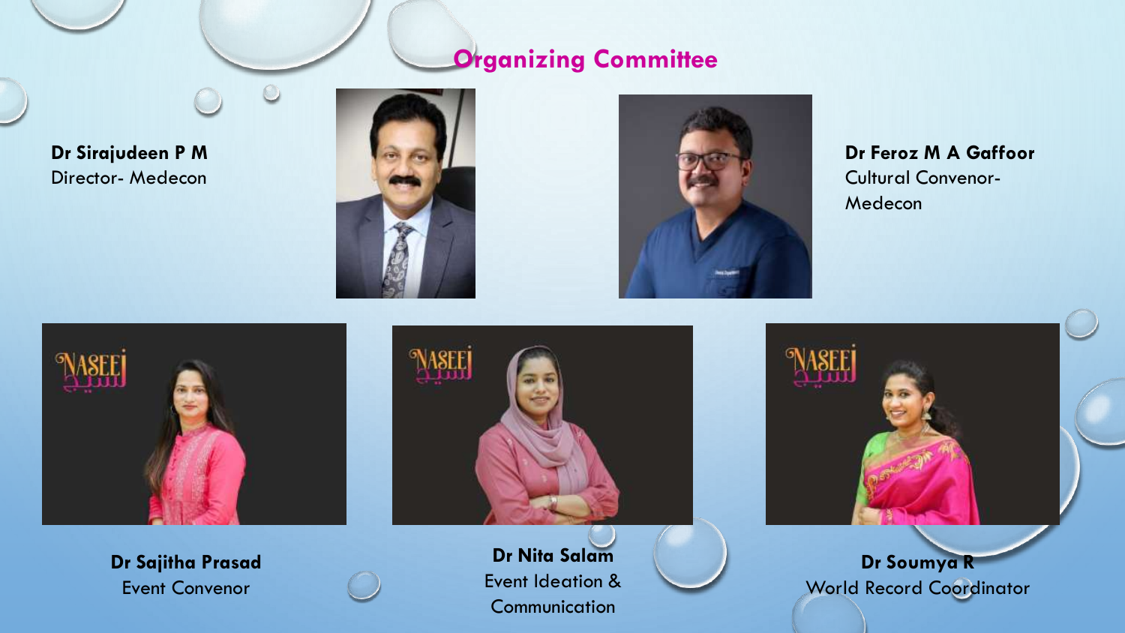# **Organizing Committee**

**Dr Sirajudeen P M** Director- Medecon





**Dr Feroz M A Gaffoor** Cultural Convenor-Medecon











**Dr Soumya R** World Record Coordinator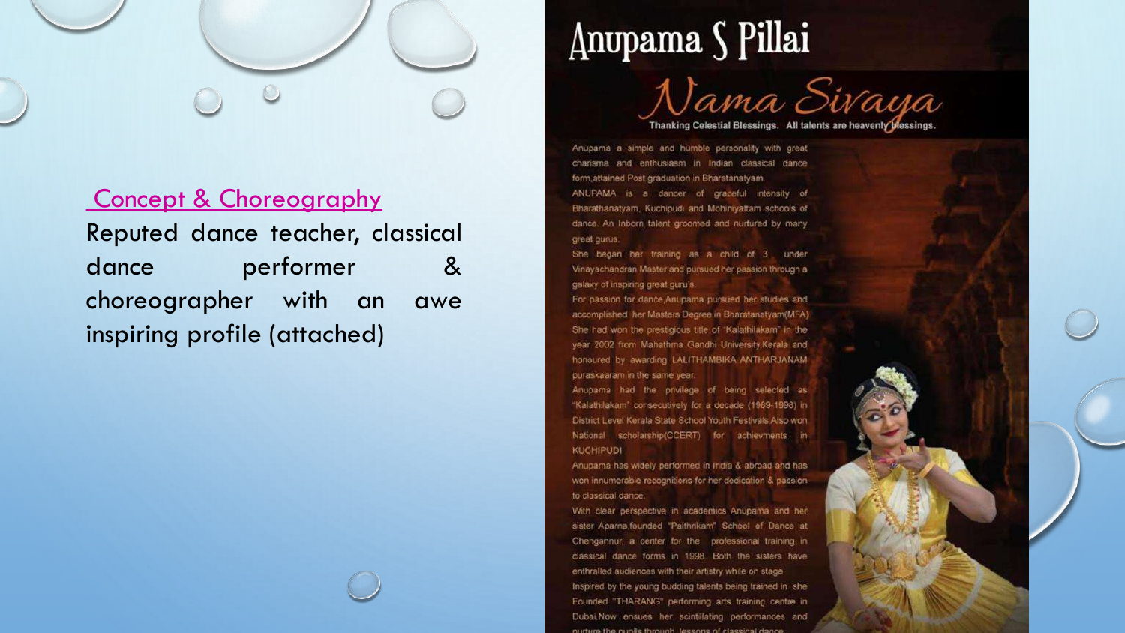

### **Concept & Choreography** Reputed dance teacher, classical performer dance  $8<sup>2</sup>$ choreographer with an awe inspiring profile (attached)

# Anupama S Pillai



Thanking Celestial Blessings. All talents are heavenly blessings.

Anupama a simple and humble personality with great charisma and enthusiasm in Indian classical dance form, attained Post graduation in Bharatanatyam. ANUPAMA is a dancer of graceful intensity of Bharathanatyam, Kuchipudi and Mohiniyattam schools of dance. An Inborn talent groomed and nurtured by many great gurus:

She began her training as a child of 3 under Vinayachandran Master and pursued her passion through a galaxy of inspiring great guru's.

For passion for dance Anupama pursued her studies and accomplished her Masters Degree in Bharatanatyam(MFA) She had won the prestigious title of "Kalathilakam" in the year 2002 from Mahathma Gandhi University, Kerala and honoured by awarding LALITHAMBIKA ANTHARJANAM puraskaaram in the same year.

Anupama had the privilege of being selected as "Kalathilakam" consecutively for a decade (1989-1998) in District Level Kerala State School Youth Festivals Also won National scholarship(CCERT) for achievments in **KUCHIPUDI** 

Anupama has widely performed in India & abroad and has won innumerable recognitions for her dedication & passion. to classical dance.

With clear perspective in academics Anupama and her sister Aparna founded "Paithrikam" School of Dance at Chengannur, a center for the professional training in classical dance forms in 1998. Both the sisters have enthralled audiences with their artistry while on stage Inspired by the young budding talents being trained in she Founded "THARANG" performing arts training centre in Dubai.Now ensues her scintillating performances and purture the numbe through tessens of clossical do.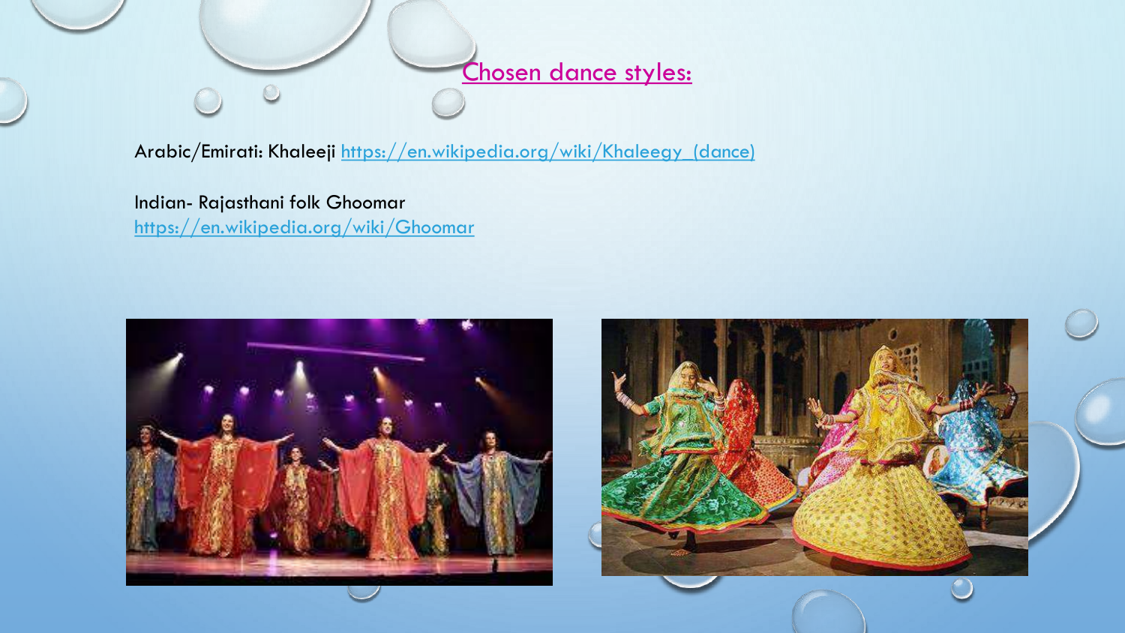

Arabic/Emirati: Khaleeji [https://en.wikipedia.org/wiki/Khaleegy\\_\(dance\)](https://en.wikipedia.org/wiki/Khaleegy_(dance))

Indian- Rajasthani folk Ghoomar <https://en.wikipedia.org/wiki/Ghoomar>

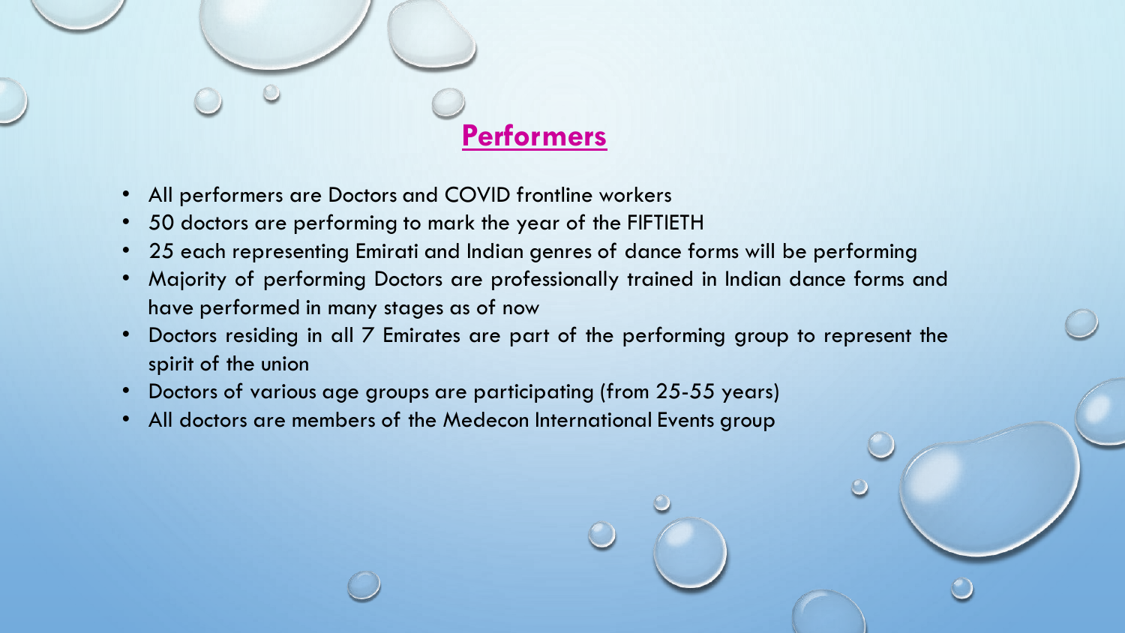

- All performers are Doctors and COVID frontline workers
- 50 doctors are performing to mark the year of the FIFTIETH
- 25 each representing Emirati and Indian genres of dance forms will be performing
- Majority of performing Doctors are professionally trained in Indian dance forms and have performed in many stages as of now
- Doctors residing in all 7 Emirates are part of the performing group to represent the spirit of the union
- Doctors of various age groups are participating (from 25-55 years)
- All doctors are members of the Medecon International Events group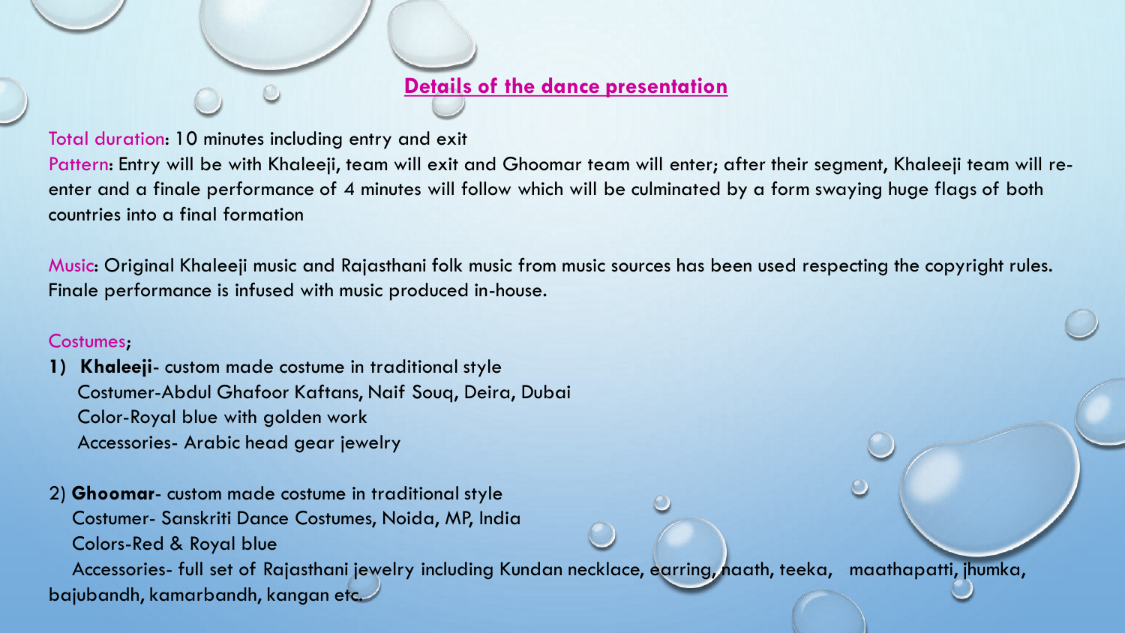### **Details of the dance presentation**

Total duration: 10 minutes including entry and exit

Pattern: Entry will be with Khaleeji, team will exit and Ghoomar team will enter; after their segment, Khaleeji team will reenter and a finale performance of 4 minutes will follow which will be culminated by a form swaying huge flags of both countries into a final formation

Music: Original Khaleeji music and Rajasthani folk music from music sources has been used respecting the copyright rules. Finale performance is infused with music produced in-house.

### Costumes;

**1) Khaleeji**- custom made costume in traditional style Costumer-Abdul Ghafoor Kaftans, Naif Souq, Deira, Dubai Color-Royal blue with golden work Accessories- Arabic head gear jewelry

2) **Ghoomar**- custom made costume in traditional style Costumer- Sanskriti Dance Costumes, Noida, MP, India Colors-Red & Royal blue

Accessories- full set of Rajasthani jewelry including Kundan necklace, earring, naath, teeka, maathapatti, jhumka, bajubandh, kamarbandh, kangan etc.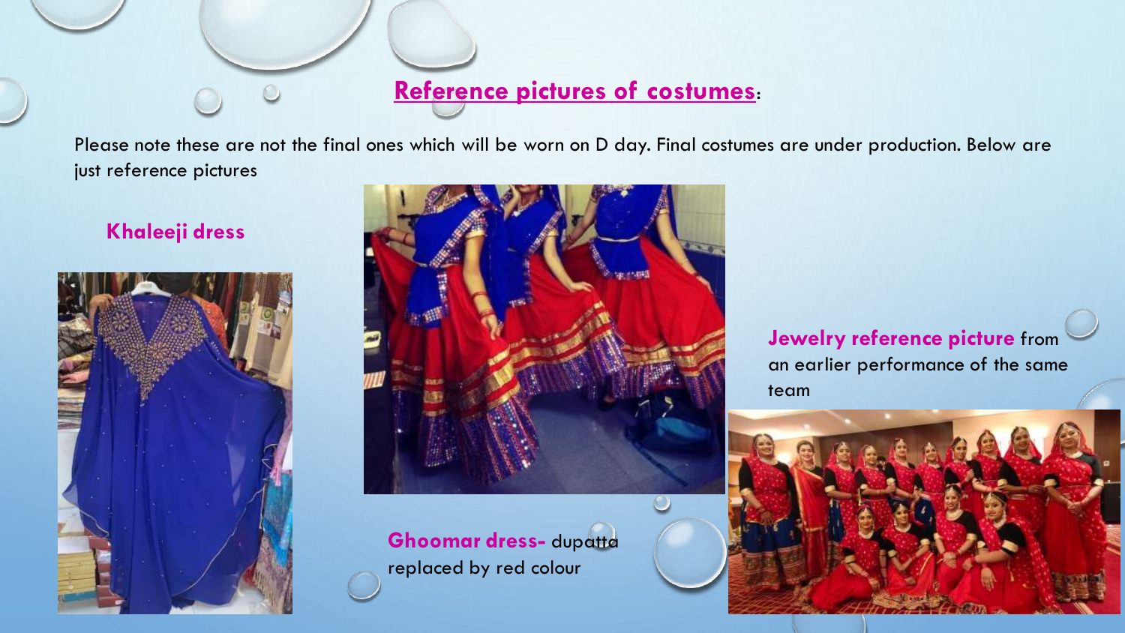# **Reference pictures of costumes**:

Please note these are not the final ones which will be worn on D day. Final costumes are under production. Below are just reference pictures

### **Khaleeji dress**





**Ghoomar dress-** dupatta replaced by red colour

**Jewelry reference picture** from an earlier performance of the same team

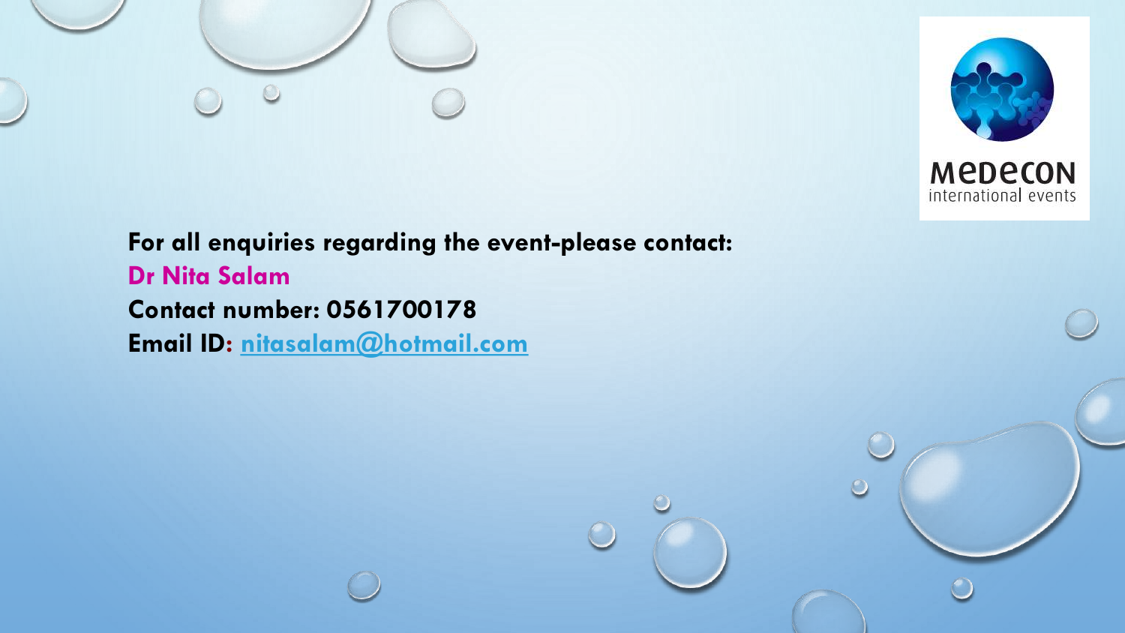



**For all enquiries regarding the event-please contact: Dr Nita Salam Contact number: 0561700178 Email ID: [nitasalam@hotmail.com](mailto:nitasalam@hotmail.com)**